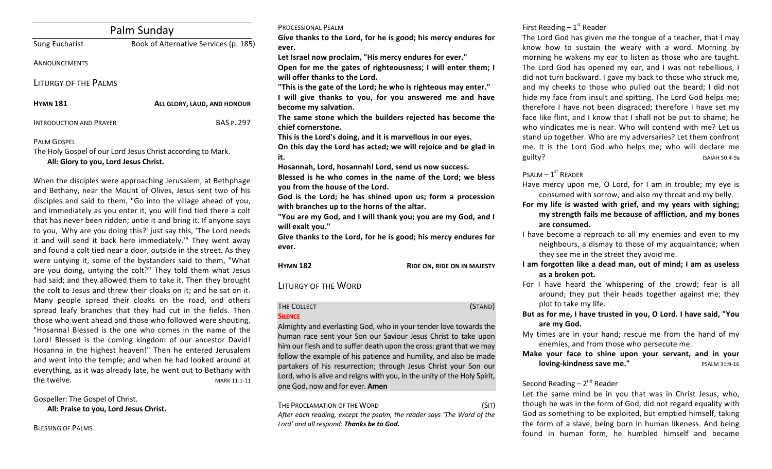| Palm Sunday                    |                                       |  |
|--------------------------------|---------------------------------------|--|
| Sung Eucharist                 | Book of Alternative Services (p. 185) |  |
| ANNOUNCEMENTS                  |                                       |  |
| <b>LITURGY OF THE PALMS</b>    |                                       |  |
| <b>HYMN 181</b>                | ALL GLORY, LAUD, AND HONOUR           |  |
| <b>INTRODUCTION AND PRAYER</b> | <b>BAS P. 297</b>                     |  |

### PALM GOSPEL

The Holy Gospel of our Lord Jesus Christ according to Mark. All: Glory to you, Lord Jesus Christ.

When the disciples were approaching Jerusalem, at Bethphage and Bethany, near the Mount of Olives, Jesus sent two of his disciples and said to them, "Go into the village ahead of you, and immediately as you enter it, you will find tied there a colt that has never been ridden; untie it and bring it. If anyone says to you, 'Why are you doing this?' just say this, 'The Lord needs it and will send it back here immediately." They went away and found a colt tied near a door, outside in the street. As they were untving it, some of the bystanders said to them. "What are you doing, untying the colt?" They told them what Jesus had said; and they allowed them to take it. Then they brought the colt to Jesus and threw their cloaks on it; and he sat on it. Many people spread their cloaks on the road, and others spread leafy branches that they had cut in the fields. Then those who went ahead and those who followed were shouting, "Hosanna! Blessed is the one who comes in the name of the Lord! Blessed is the coming kingdom of our ancestor David! Hosanna in the highest heaven!" Then he entered Jerusalem and went into the temple; and when he had looked around at everything, as it was already late, he went out to Bethany with the twelve. The contract of the contract of the contract of the contract of the contract of the contract of the contract of the contract of the contract of the contract of the contract of the contract of the contract of th

Gospeller: The Gospel of Christ. All: Praise to you, Lord Jesus Christ.

BLESSING OF PALMS

#### PROCESSIONAL PSALM

Give thanks to the Lord, for he is good; his mercy endures for **ever.**

Let Israel now proclaim, "His mercy endures for ever."

Open for me the gates of righteousness; I will enter them; I will offer thanks to the Lord.

"This is the gate of the Lord; he who is righteous may enter." **I** will give thanks to you, for you answered me and have become my salvation.

The same stone which the builders rejected has become the chief cornerstone.

This is the Lord's doing, and it is marvellous in our eyes.

On this day the Lord has acted; we will rejoice and be glad in **it.** 

Hosannah, Lord, hosannah! Lord, send us now success.

Blessed is he who comes in the name of the Lord; we bless **you from the house of the Lord.** 

God is the Lord; he has shined upon us; form a procession with branches up to the horns of the altar.

**"You are my God, and I will thank you; you are my God, and I**  will exalt you."

Give thanks to the Lord, for he is good; his mercy endures for **ever.**

**HYMN 182 RIDE ON, RIDE ON IN MAJESTY** 

LITURGY OF THE WORD

# **SILENCE**

THE COLLECT (STAND)

Almighty and everlasting God, who in your tender love towards the human race sent your Son our Saviour Jesus Christ to take upon him our flesh and to suffer death upon the cross: grant that we may follow the example of his patience and humility, and also be made partakers of his resurrection; through Jesus Christ your Son our Lord, who is alive and reigns with you, in the unity of the Holy Spirit, one God, now and for ever. **Amen**

THE PROCLAMATION OF THE WORD (SIT) After each reading, except the psalm, the reader says 'The Word of the Lord' and all respond: Thanks be to God.

# First Reading  $-1<sup>st</sup>$  Reader

The Lord God has given me the tongue of a teacher, that I may know how to sustain the weary with a word. Morning by morning he wakens my ear to listen as those who are taught. The Lord God has opened my ear, and I was not rebellious, I did not turn backward. I gave my back to those who struck me, and my cheeks to those who pulled out the beard; I did not hide my face from insult and spitting. The Lord God helps me; therefore I have not been disgraced; therefore I have set my face like flint, and I know that I shall not be put to shame; he who vindicates me is near. Who will contend with me? Let us stand up together. Who are my adversaries? Let them confront me. It is the Lord God who helps me; who will declare me guilty? ISAIAH 50:4-9a

#### $P$ SALM  $-1$ <sup>ST</sup> READER

Have mercy upon me, O Lord, for I am in trouble; my eye is consumed with sorrow, and also my throat and my belly.

- For my life is wasted with grief, and my years with sighing; my strength fails me because of affliction, and my bones are consumed.
- I have become a reproach to all my enemies and even to my neighbours, a dismay to those of my acquaintance; when they see me in the street they avoid me.
- I am forgotten like a dead man, out of mind; I am as useless as a broken pot.
- For I have heard the whispering of the crowd; fear is all around; they put their heads together against me; they plot to take my life.
- But as for me, I have trusted in you, O Lord. I have said, "You are my God.
- My times are in your hand; rescue me from the hand of my enemies, and from those who persecute me.
- Make your face to shine upon your servant, and in your **loving-kindness save me."** PSALM 31:9-16

# Second Reading  $- 2<sup>nd</sup>$  Reader

Let the same mind be in you that was in Christ Jesus, who, though he was in the form of God, did not regard equality with God as something to be exploited, but emptied himself, taking the form of a slave, being born in human likeness. And being found in human form, he humbled himself and became